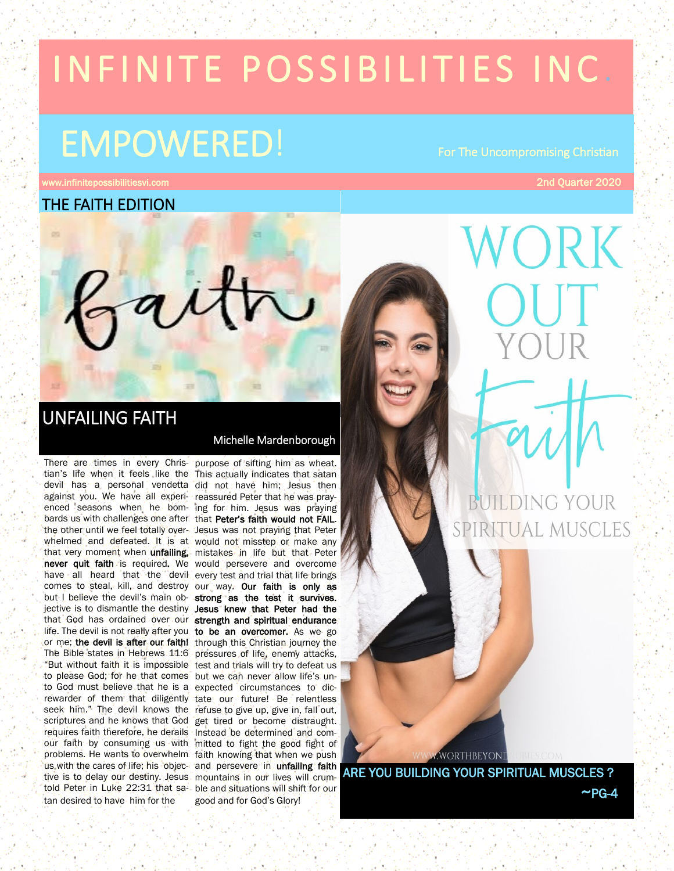# IN FINITE POSSIBILITIES INC.

# EMPOWERED! For The Uncompromising Christian

zaitr

ww.infinitepossibilitiesvi.com and the community of the community of the community of the community of the community of the community of the community of the community of the community of the community of the community of

THE FAITH EDITION

# UNFAILING FAITH

tian's life when it feels like the This actually indicates that satan devil has a personal vendetta did not have him; Jesus then against you. We have all experi-reassured Peter that he was prayenced seasons when he bom-ing for him. Jesus was praying bards us with challenges one after that Peter's faith would not FAIL. the other until we feel totally over-Jesus was not praying that Peter whelmed and defeated. It is at would not misstep or make any that very moment when unfailing, mistakes in life but that Peter never quit faith is required. We would persevere and overcome have all heard that the devil every test and trial that life brings comes to steal, kill, and destroy our way. Our faith is only as but I believe the devil's main ob- strong as the test it survives. jective is to dismantle the destiny Jesus knew that Peter had the that God has ordained over our strength and spiritual endurance. life. The devil is not really after you, to be an overcomer. As we go or me; the devil is after our faith! through this Christian journey the The Bible states in Hebrews 11:6 pressures of life, enemy attacks, "But without faith it is impossible test and trials will try to defeat us to please God; for he that comes but we can never allow life's unto God must believe that he is a expected circumstances to dicrewarder of them that diligently tate our future! Be relentless seek him." The devil knows the refuse to give up, give in, fall out, scriptures and he knows that God get tired or become distraught. requires faith therefore, he derails Instead be determined and comour faith by consuming us with mitted to fight the good fight of problems. He wants to overwhelm faith knowing that when we push us with the cares of life; his objec- and persevere in unfailing faith tive is to delay our destiny. Jesus mountains in our lives will crumtold Peter in Luke 22:31 that sa-ble and situations will shift for our tan desired to have him for the

# Michelle Mardenborough

There are times in every Chris-purpose of sifting him as wheat. good and for God's Glory!



SPIRITUAL MUSCLES

**WORTHBEYONI** 

ARE YOU BUILDING YOUR SPIRITUAL MUSCLES ?  $~\sim$ PG-4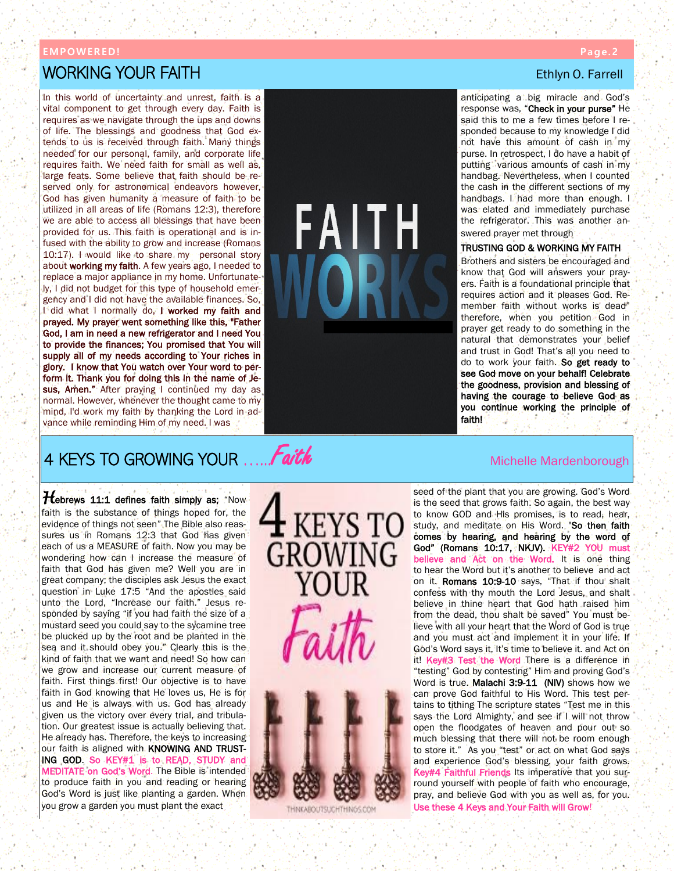## **EMP OW ER ED !**

# **WORKING YOUR FAITH EXECUTE IN FINISHER SIDES AND THE SECOND STATE IN THE SECOND STATE IN THE SECOND STATE IN T**

In this world of uncertainty and unrest, faith is a vital component to get through every day. Faith is requires as we navigate through the ups and downs of life. The blessings and goodness that God extends to us is received through faith. Many things needed for our personal, family, and corporate life requires faith. We need faith for small as well as, large feats. Some believe that faith should be reserved only for astronomical endeavors however, God has given humanity a measure of faith to be utilized in all areas of life (Romans 12:3), therefore we are able to access all blessings that have been provided for us. This faith is operational and is infused with the ability to grow and increase (Romans 10:17). I would like to share my personal story about working my faith. A few years ago, I needed to replace a major appliance in my home. Unfortunately, I did not budget for this type of household emergency and I did not have the available finances. So, I did what I normally do, I worked my faith and prayed. My prayer went something like this, "Father God, I am in need a new refrigerator and I need You to provide the finances; You promised that You will supply all of my needs according to Your riches in glory. I know that You watch over Your word to perform it. Thank you for doing this in the name of Jesus, Amen." After praying I continued my day as normal. However, whenever the thought came to my mind, I'd work my faith by thanking the Lord in advance while reminding Him of my need. I was



anticipating a big miracle and God's response was, "Check in your purse" He said this to me a few times before I responded because to my knowledge I did not have this amount of cash in my purse. In retrospect, I do have a habit of putting various amounts of cash in my handbag. Nevertheless, when I counted the cash in the different sections of my handbags. I had more than enough. I was elated and immediately purchase the refrigerator. This was another answered prayer met through.

# TRUSTING GOD & WORKING MY FAITH

Brothers and sisters be encouraged and know that God will answers your prayers. Faith is a foundational principle that requires action and it pleases God. Remember faith without works is dead" therefore, when you petition God in prayer get ready to do something in the natural that demonstrates your belief and trust in God! That's all you need to do to work your faith. So get ready to see God move on your behalf! Celebrate the goodness, provision and blessing of having the courage to believe God as you continue working the principle of faith!

# 4 KEYS TO GROWING YOUR  $\ldots$  Faith Michelle Marticle Mardenborough

*Hebrews* 11:1 defines faith simply as; "Now faith is the substance of things hoped for, the evidence of things not seen" The Bible also reassures us in Romans 12:3 that God has given each of us a MEASURE of faith. Now you may be wondering how can I increase the measure of faith that God has given me? Well you are in great company; the disciples ask Jesus the exact question in Luke 17:5 "And the apostles said unto the Lord, "Increase our faith." Jesus responded by saying "if you had faith the size of a mustard seed you could say to the sycamine tree be plucked up by the root and be planted in the sea and it should obey you." Clearly this is the kind of faith that we want and need! So how can we grow and increase our current measure of faith. First things first! Our objective is to have faith in God knowing that He loves us, He is for us and He is always with us. God has already given us the victory over every trial, and tribulation. Our greatest issue is actually believing that. He already has. Therefore, the keys to increasing our faith is aligned with KNOWING AND TRUST-ING GOD. So KEY#1 is to READ, STUDY and MEDITATE on God's Word. The Bible is intended to produce faith in you and reading or hearing God's Word is just like planting a garden. When you grow a garden you must plant the exact



THINKABOUTSUCHTHINGS.COM

seed of the plant that you are growing. God's Word is the seed that grows faith. So again, the best way to know GOD and His promises, is to read, hear, study, and meditate on His Word. "So then faith comes by hearing, and hearing by the word of God" (Romans 10:17, NKJV). KEY#2 YOU must believe and Act on the Word. It is one thing to hear the Word but it's another to believe and act on it. Romans 10:9-10 says, "That if thou shalt confess with thy mouth the Lord Jesus, and shalt believe in thine heart that God hath raised him from the dead, thou shalt be saved" You must believe with all your heart that the Word of God is true and you must act and implement it in your life. If God's Word says it, It's time to believe it. and Act on it! Key#3 Test the Word There is a difference in "testing" God by contesting" Him and proving God's Word is true. Malachi 3:9-11 (NIV) shows how we can prove God faithful to His Word. This test pertains to tithing The scripture states "Test me in this says the Lord Almighty, and see if I will not throw open the floodgates of heaven and pour out so much blessing that there will not be room enough to store it." As you "test" or act on what God says and experience God's blessing, your faith grows. Key#4 Faithful Friends Its imperative that you surround yourself with people of faith who encourage, pray, and believe God with you as well as, for you. Use these 4 Keys and Your Faith will Grow!

# **P a g e. 2**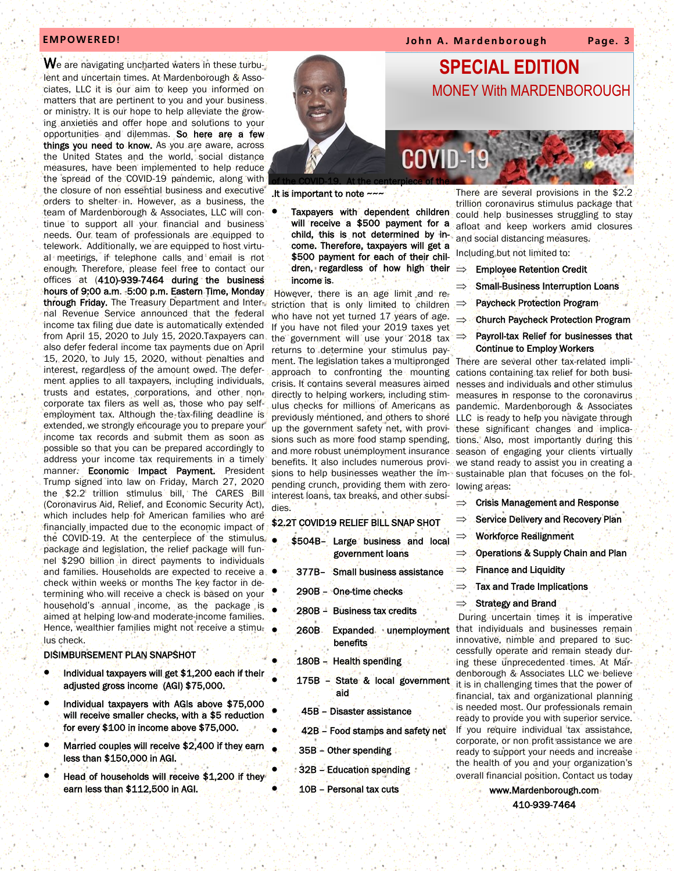**EMPOWERED! EXECUTE:** The internal of the number of the number of the state of the number of the number of the number of the number of the number of the number of the number of the number of the number of the number of t

We are navigating uncharted waters in these turbulent and uncertain times. At Mardenborough & Associates, LLC it is our aim to keep you informed on matters that are pertinent to you and your business or ministry. It is our hope to help alleviate the growing anxieties and offer hope and solutions to your opportunities and dilemmas. So here are a few things you need to know. As you are aware, across the United States and the world, social distance measures, have been implemented to help reduce the spread of the COVID-19 pandemic, along with the closure of non essential business and executive orders to shelter in. However, as a business, the team of Mardenborough & Associates, LLC will continue to support all your financial and business needs. Our team of professionals are equipped to telework. Additionally, we are equipped to host virtual meetings, if telephone calls and email is not enough. Therefore, please feel free to contact our offices at (410)-939-7464 during the business hours of 9:00 a.m. -5:00 p.m. Eastern Time, Monday through Friday. The Treasury Department and Internal Revenue Service announced that the federal income tax filing due date is automatically extended from April 15, 2020 to July 15, 2020.Taxpayers can also defer federal income tax payments due on April 15, 2020, to July 15, 2020, without penalties and interest, regardless of the amount owed. The deferment applies to all taxpayers, including individuals, trusts and estates, corporations, and other noncorporate tax filers as well as, those who pay selfemployment tax. Although the tax-filing deadline is extended, we strongly encourage you to prepare your income tax records and submit them as soon as possible so that you can be prepared accordingly to address your income tax requirements in a timely manner. Economic Impact Payment. President Trump signed into law on Friday, March 27, 2020 the \$2.2 trillion stimulus bill, The CARES Bill (Coronavirus Aid, Relief, and Economic Security Act), which includes help for American families who are financially impacted due to the economic impact of the COVID-19. At the centerpiece of the stimulus package and legislation, the relief package will funnel \$290 billion in direct payments to individuals and families. Households are expected to receive a check within weeks or months The key factor in determining who will receive a check is based on your household's annual income, as the package is aimed at helping low-and moderate-income families. Hence, wealthier families might not receive a stimulus check.

## DISIMBURSEMENT PLAN SNAPSHOT

- Individual taxpayers will get \$1,200 each if their adjusted gross income (AGI) \$75,000.
- Individual taxpayers with AGIs above \$75,000 will receive smaller checks, with a \$5 reduction for every \$100 in income above \$75,000.
- Married couples will receive \$2,400 if they earn less than \$150,000 in AGI.
- Head of households will receive \$1,200 if they earn less than \$112,500 in AGI.



.It is important to note ~~~

Taxpayers with dependent children will receive a \$500 payment for a child, this is not determined by income. Therefore, taxpayers will get a \$500 payment for each of their children, regardless of how high their income is.

ment. The legislation takes a multipronged There are several other tax-related impli-However, there is an age limit and restriction that is only limited to children  $\Rightarrow$ who have not yet turned 17 years of age. If you have not filed your 2019 taxes yet the government will use your 2018 tax returns to determine your stimulus payapproach to confronting the mounting crisis. It contains several measures aimed directly to helping workers, including stimulus checks for millions of Americans as previously mentioned, and others to shore up the government safety net, with provisions such as more food stamp spending, and more robust unemployment insurance benefits. It also includes numerous provisions to help businesses weather the impending crunch, providing them with zerointerest loans, tax breaks, and other subsidies.

# \$2.2T COVID19 RELIEF BILL SNAP SHOT

- \$504B– Large business and local government loans
- 377B– Small business assistance
- 290B One-time checks
- 280B Business tax credits
- 260B Expanded unemployment **benefits**
- 180B Health spending
- 175B State & local government aid
	- 45B Disaster assistance
	- 42B Food stamps and safety net
- 35B Other spending
- 32B Education spending
- 10B Personal tax cuts

There are several provisions in the \$2.2 trillion coronavirus stimulus package that could help businesses struggling to stay afloat and keep workers amid closures and social distancing measures.

- Including but not limited to:
- Employee Retention Credit
- Small-Business Interruption Loans
- Paycheck Protection Program
- $\Rightarrow$  Church Paycheck Protection Program
- Payroll-tax Relief for businesses that Continue to Employ Workers

cations containing tax relief for both businesses and individuals and other stimulus measures in response to the coronavirus pandemic. Mardenborough & Associates LLC is ready to help you navigate through these significant changes and implications. Also, most importantly during this season of engaging your clients virtually we stand ready to assist you in creating a sustainable plan that focuses on the following areas:

- Crisis Management and Response
- Service Delivery and Recovery Plan
- Workforce Realignment
- $\Rightarrow$  Operations & Supply Chain and Plan
- $\Rightarrow$  Finance and Liquidity
- Tax and Trade Implications
- Strategy and Brand

 During uncertain times it is imperative that individuals and businesses remain innovative, nimble and prepared to successfully operate and remain steady during these unprecedented times. At Mardenborough & Associates LLC we believe it is in challenging times that the power of financial, tax and organizational planning is needed most. Our professionals remain ready to provide you with superior service. If you require individual tax assistance, corporate, or non profit assistance we are ready to support your needs and increase the health of you and your organization's overall financial position. Contact us today

> www.Mardenborough.com 410-939-7464